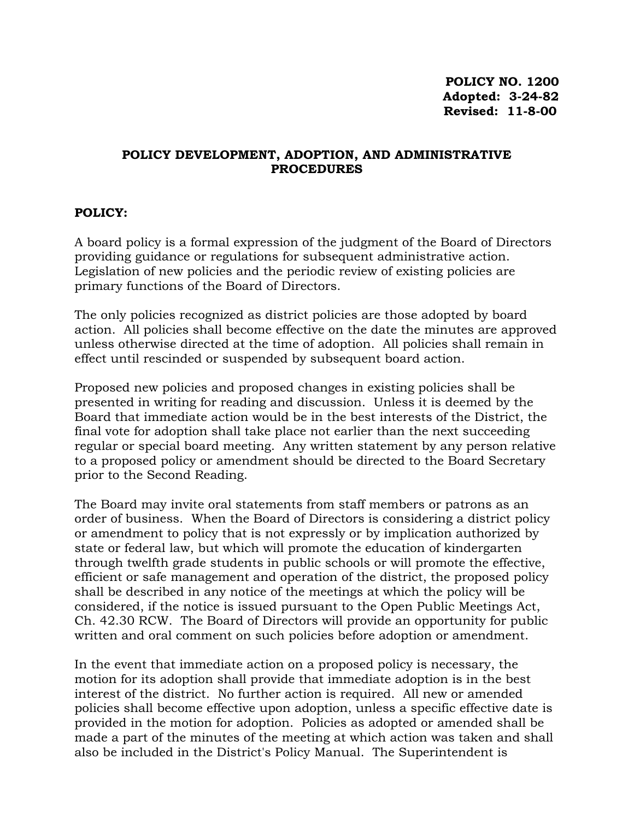## **POLICY DEVELOPMENT, ADOPTION, AND ADMINISTRATIVE PROCEDURES**

## **POLICY:**

A board policy is a formal expression of the judgment of the Board of Directors providing guidance or regulations for subsequent administrative action. Legislation of new policies and the periodic review of existing policies are primary functions of the Board of Directors.

The only policies recognized as district policies are those adopted by board action. All policies shall become effective on the date the minutes are approved unless otherwise directed at the time of adoption. All policies shall remain in effect until rescinded or suspended by subsequent board action.

Proposed new policies and proposed changes in existing policies shall be presented in writing for reading and discussion. Unless it is deemed by the Board that immediate action would be in the best interests of the District, the final vote for adoption shall take place not earlier than the next succeeding regular or special board meeting. Any written statement by any person relative to a proposed policy or amendment should be directed to the Board Secretary prior to the Second Reading.

The Board may invite oral statements from staff members or patrons as an order of business. When the Board of Directors is considering a district policy or amendment to policy that is not expressly or by implication authorized by state or federal law, but which will promote the education of kindergarten through twelfth grade students in public schools or will promote the effective, efficient or safe management and operation of the district, the proposed policy shall be described in any notice of the meetings at which the policy will be considered, if the notice is issued pursuant to the Open Public Meetings Act, Ch. 42.30 RCW. The Board of Directors will provide an opportunity for public written and oral comment on such policies before adoption or amendment.

In the event that immediate action on a proposed policy is necessary, the motion for its adoption shall provide that immediate adoption is in the best interest of the district. No further action is required. All new or amended policies shall become effective upon adoption, unless a specific effective date is provided in the motion for adoption. Policies as adopted or amended shall be made a part of the minutes of the meeting at which action was taken and shall also be included in the District's Policy Manual. The Superintendent is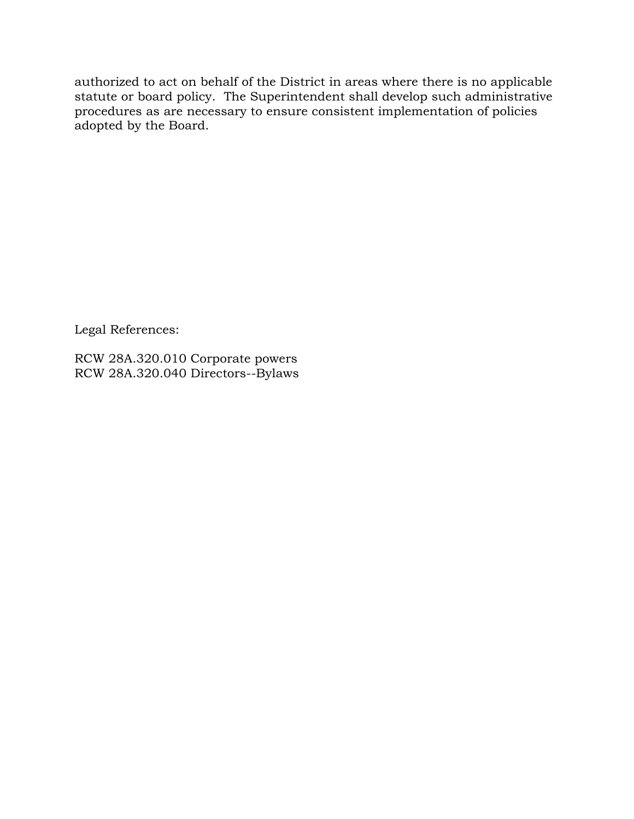authorized to act on behalf of the District in areas where there is no applicable statute or board policy. The Superintendent shall develop such administrative procedures as are necessary to ensure consistent implementation of policies adopted by the Board.

Legal References:

RCW 28A.320.010 Corporate powers RCW 28A.320.040 Directors--Bylaws